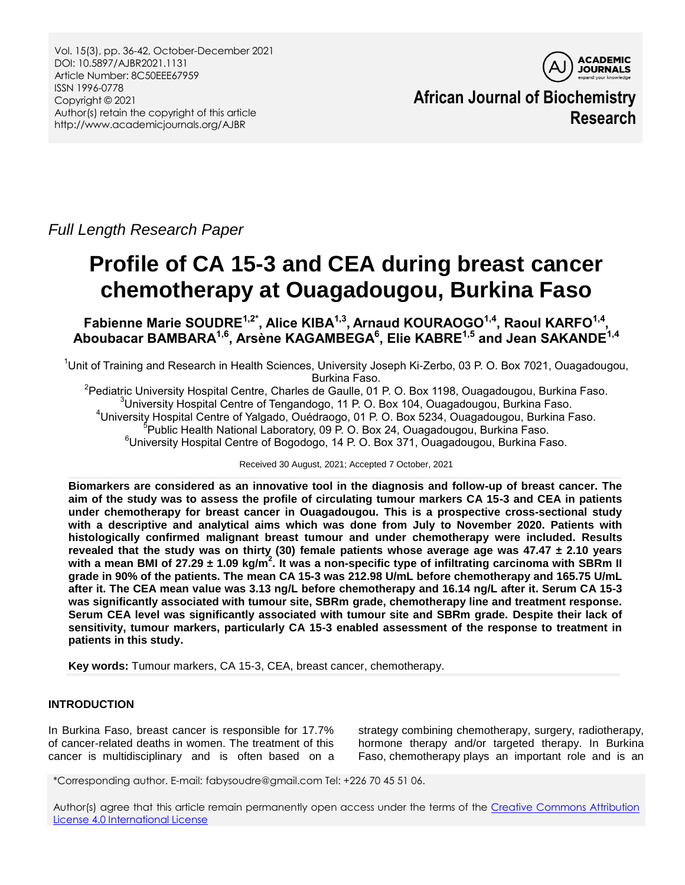Vol. 15(3), pp. 36-42, October-December 2021 DOI: 10.5897/AJBR2021.1131 Article Number: 8C50EEE67959 ISSN 1996-0778 Copyright © 2021 Author(s) retain the copyright of this article http://www.academicjournals.org/AJBR



**African Journal of Biochemistry Research**

*Full Length Research Paper*

# **Profile of CA 15-3 and CEA during breast cancer chemotherapy at Ouagadougou, Burkina Faso**

**Fabienne Marie SOUDRE1,2\*, Alice KIBA1,3 , Arnaud KOURAOGO1,4, Raoul KARFO1,4 , Aboubacar BAMBARA1,6, Arsène KAGAMBEGA<sup>6</sup> , Elie KABRE1,5 and Jean SAKANDE1,4**

<sup>1</sup>Unit of Training and Research in Health Sciences, University Joseph Ki-Zerbo, 03 P. O. Box 7021, Ouagadougou, Burkina Faso.

<sup>2</sup>Pediatric University Hospital Centre, Charles de Gaulle, 01 P. O. Box 1198, Ouagadougou, Burkina Faso. University Hospital Centre of Tengandogo, 11 P. O. Box 104, Ouagadougou, Burkina Faso. University Hospital Centre of Yalgado, Ouédraogo, 01 P. O. Box 5234, Ouagadougou, Burkina Faso. Public Health National Laboratory, 09 P. O. Box 24, Ouagadougou, Burkina Faso. University Hospital Centre of Bogodogo, 14 P. O. Box 371, Ouagadougou, Burkina Faso.

Received 30 August, 2021; Accepted 7 October, 2021

**Biomarkers are considered as an innovative tool in the diagnosis and follow-up of breast cancer. The aim of the study was to assess the profile of circulating tumour markers CA 15-3 and CEA in patients under chemotherapy for breast cancer in Ouagadougou. This is a prospective cross-sectional study with a descriptive and analytical aims which was done from July to November 2020. Patients with histologically confirmed malignant breast tumour and under chemotherapy were included. Results revealed that the study was on thirty (30) female patients whose average age was 47.47 ± 2.10 years with a mean BMI of 27.29 ± 1.09 kg/m<sup>2</sup> . It was a non-specific type of infiltrating carcinoma with SBRm II grade in 90% of the patients. The mean CA 15-3 was 212.98 U/mL before chemotherapy and 165.75 U/mL after it. The CEA mean value was 3.13 ng/L before chemotherapy and 16.14 ng/L after it. Serum CA 15-3 was significantly associated with tumour site, SBRm grade, chemotherapy line and treatment response. Serum CEA level was significantly associated with tumour site and SBRm grade. Despite their lack of sensitivity, tumour markers, particularly CA 15-3 enabled assessment of the response to treatment in patients in this study.**

**Key words:** Tumour markers, CA 15-3, CEA, breast cancer, chemotherapy.

# **INTRODUCTION**

In Burkina Faso, breast cancer is responsible for 17.7% of cancer-related deaths in women. The treatment of this cancer is multidisciplinary and is often based on a strategy combining chemotherapy, surgery, radiotherapy, hormone therapy and/or targeted therapy. In Burkina Faso, chemotherapy plays an important role and is an

\*Corresponding author. E-mail: fabysoudre@gmail.com Tel: +226 70 45 51 06.

Author(s) agree that this article remain permanently open access under the terms of the Creative [Commons](http://creativecommons.org/licenses/by/4.0/deed.en_US) Attribution License 4.0 [International](http://creativecommons.org/licenses/by/4.0/deed.en_US) License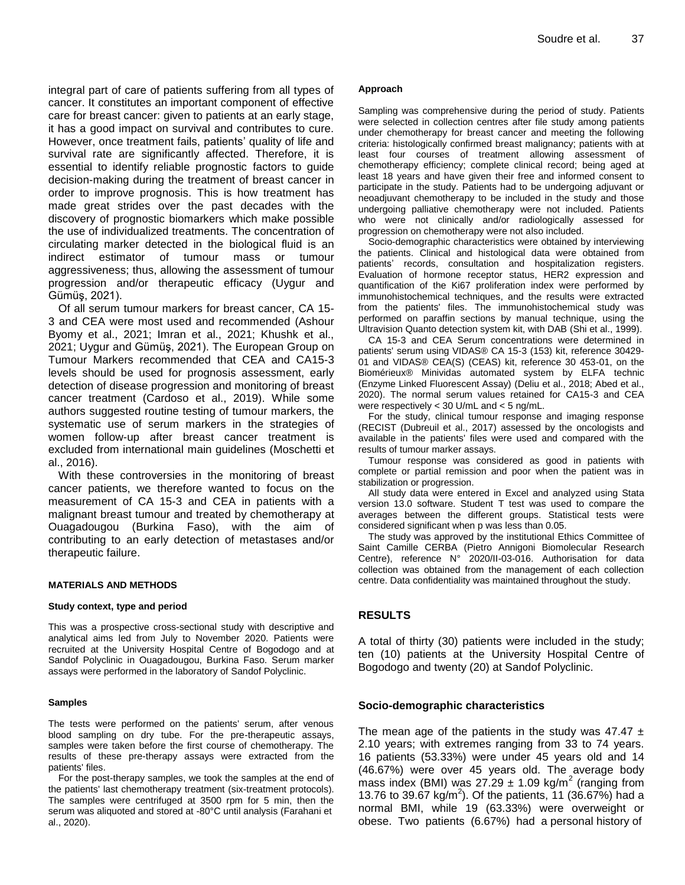integral part of care of patients suffering from all types of cancer. It constitutes an important component of effective care for breast cancer: given to patients at an early stage, it has a good impact on survival and contributes to cure. However, once treatment fails, patients' quality of life and survival rate are significantly affected. Therefore, it is essential to identify reliable prognostic factors to guide decision-making during the treatment of breast cancer in order to improve prognosis. This is how treatment has made great strides over the past decades with the discovery of prognostic biomarkers which make possible the use of individualized treatments. The concentration of circulating marker detected in the biological fluid is an indirect estimator of tumour mass or tumour aggressiveness; thus, allowing the assessment of tumour progression and/or therapeutic efficacy (Uygur and Gümüş, 2021).

Of all serum tumour markers for breast cancer, CA 15- 3 and CEA were most used and recommended (Ashour Byomy et al., 2021; Imran et al., 2021; Khushk et al., 2021; Uygur and Gümüş, 2021). The European Group on Tumour Markers recommended that CEA and CA15-3 levels should be used for prognosis assessment, early detection of disease progression and monitoring of breast cancer treatment (Cardoso et al., 2019). While some authors suggested routine testing of tumour markers, the systematic use of serum markers in the strategies of women follow-up after breast cancer treatment is excluded from international main guidelines (Moschetti et al., 2016).

With these controversies in the monitoring of breast cancer patients, we therefore wanted to focus on the measurement of CA 15-3 and CEA in patients with a malignant breast tumour and treated by chemotherapy at Ouagadougou (Burkina Faso), with the aim of contributing to an early detection of metastases and/or therapeutic failure.

#### **MATERIALS AND METHODS**

#### **Study context, type and period**

This was a prospective cross-sectional study with descriptive and analytical aims led from July to November 2020. Patients were recruited at the University Hospital Centre of Bogodogo and at Sandof Polyclinic in Ouagadougou, Burkina Faso. Serum marker assays were performed in the laboratory of Sandof Polyclinic.

#### **Samples**

The tests were performed on the patients' serum, after venous blood sampling on dry tube. For the pre-therapeutic assays, samples were taken before the first course of chemotherapy. The results of these pre-therapy assays were extracted from the patients' files.

For the post-therapy samples, we took the samples at the end of the patients' last chemotherapy treatment (six-treatment protocols). The samples were centrifuged at 3500 rpm for 5 min, then the serum was aliquoted and stored at -80°C until analysis (Farahani et al., 2020).

#### **Approach**

Sampling was comprehensive during the period of study. Patients were selected in collection centres after file study among patients under chemotherapy for breast cancer and meeting the following criteria: histologically confirmed breast malignancy; patients with at least four courses of treatment allowing assessment of chemotherapy efficiency; complete clinical record; being aged at least 18 years and have given their free and informed consent to participate in the study. Patients had to be undergoing adjuvant or neoadjuvant chemotherapy to be included in the study and those undergoing palliative chemotherapy were not included. Patients who were not clinically and/or radiologically assessed for progression on chemotherapy were not also included.

Socio-demographic characteristics were obtained by interviewing the patients. Clinical and histological data were obtained from patients' records, consultation and hospitalization registers. Evaluation of hormone receptor status, HER2 expression and quantification of the Ki67 proliferation index were performed by immunohistochemical techniques, and the results were extracted from the patients' files. The immunohistochemical study was performed on paraffin sections by manual technique, using the Ultravision Quanto detection system kit, with DAB (Shi et al., 1999).

CA 15-3 and CEA Serum concentrations were determined in patients' serum using VIDAS® CA 15-3 (153) kit, reference 30429- 01 and VIDAS® CEA(S) (CEAS) kit, reference 30 453-01, on the Biomérieux® Minividas automated system by ELFA technic (Enzyme Linked Fluorescent Assay) (Deliu et al., 2018; Abed et al., 2020). The normal serum values retained for CA15-3 and CEA were respectively < 30 U/mL and < 5 ng/mL.

For the study, clinical tumour response and imaging response (RECIST (Dubreuil et al., 2017) assessed by the oncologists and available in the patients' files were used and compared with the results of tumour marker assays.

Tumour response was considered as good in patients with complete or partial remission and poor when the patient was in stabilization or progression.

All study data were entered in Excel and analyzed using Stata version 13.0 software. Student T test was used to compare the averages between the different groups. Statistical tests were considered significant when p was less than 0.05.

The study was approved by the institutional Ethics Committee of Saint Camille CERBA (Pietro Annigoni Biomolecular Research Centre), reference N° 2020/II-03-016. Authorisation for data collection was obtained from the management of each collection centre. Data confidentiality was maintained throughout the study.

## **RESULTS**

A total of thirty (30) patients were included in the study; ten (10) patients at the University Hospital Centre of Bogodogo and twenty (20) at Sandof Polyclinic.

#### **Socio-demographic characteristics**

The mean age of the patients in the study was  $47.47 \pm$ 2.10 years; with extremes ranging from 33 to 74 years. 16 patients (53.33%) were under 45 years old and 14 (46.67%) were over 45 years old. The average body mass index (BMI) was  $27.29 \pm 1.09$  kg/m<sup>2</sup> (ranging from 13.76 to 39.67 kg/m<sup>2</sup>). Of the patients, 11 (36.67%) had a normal BMI, while 19 (63.33%) were overweight or obese. Two patients (6.67%) had a personal history of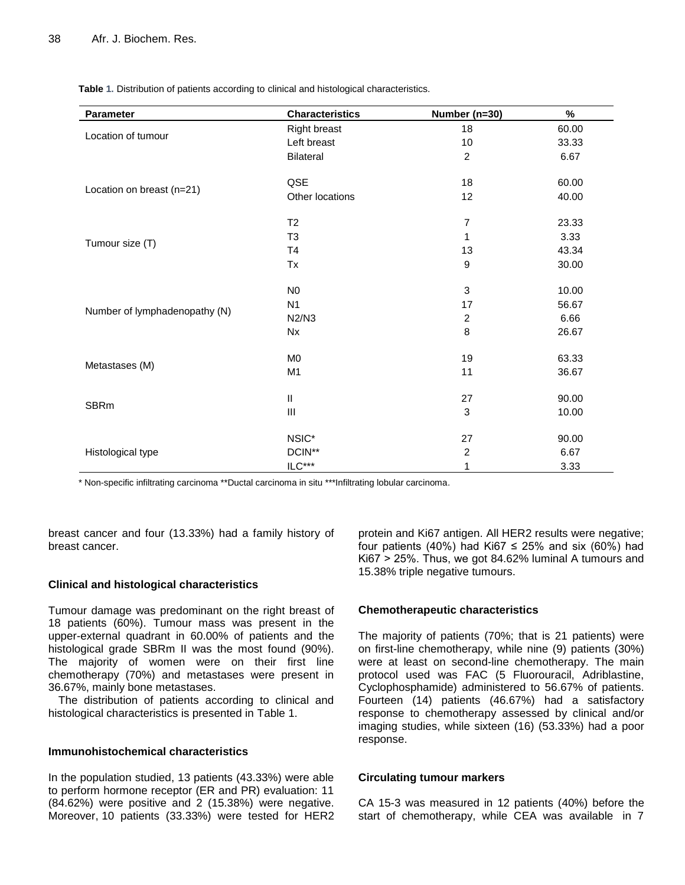| <b>Parameter</b>              | <b>Characteristics</b> | Number (n=30)  | $\%$  |
|-------------------------------|------------------------|----------------|-------|
| Location of tumour            | <b>Right breast</b>    | 18             | 60.00 |
|                               | Left breast            | 10             | 33.33 |
|                               | Bilateral              | $\overline{c}$ | 6.67  |
| Location on breast (n=21)     | QSE                    | 18             | 60.00 |
|                               | Other locations        | 12             | 40.00 |
|                               | T <sub>2</sub>         | 7              | 23.33 |
| Tumour size (T)               | T <sub>3</sub>         | 1              | 3.33  |
|                               | <b>T4</b>              | 13             | 43.34 |
|                               | Tx                     | 9              | 30.00 |
|                               | N <sub>0</sub>         | 3              | 10.00 |
|                               | N <sub>1</sub>         | 17             | 56.67 |
| Number of lymphadenopathy (N) | N2/N3                  | $\overline{c}$ | 6.66  |
|                               | <b>Nx</b>              | 8              | 26.67 |
|                               | M <sub>0</sub>         | 19             | 63.33 |
| Metastases (M)                | M <sub>1</sub>         | 11             | 36.67 |
|                               | $\mathsf{II}$          | 27             | 90.00 |
| <b>SBRm</b>                   | $\mathbf{III}$         | 3              | 10.00 |
|                               | NSIC*                  | 27             | 90.00 |
| Histological type             | DCIN**                 | $\overline{c}$ | 6.67  |
|                               | $\mathsf{ILC}^{***}$   | 1              | 3.33  |

**Table 1.** Distribution of patients according to clinical and histological characteristics.

\* Non-specific infiltrating carcinoma \*\*Ductal carcinoma in situ \*\*\*Infiltrating lobular carcinoma.

breast cancer and four (13.33%) had a family history of breast cancer.

## **Clinical and histological characteristics**

Tumour damage was predominant on the right breast of 18 patients (60%). Tumour mass was present in the upper-external quadrant in 60.00% of patients and the histological grade SBRm II was the most found (90%). The majority of women were on their first line chemotherapy (70%) and metastases were present in 36.67%, mainly bone metastases.

The distribution of patients according to clinical and histological characteristics is presented in Table 1.

## **Immunohistochemical characteristics**

In the population studied, 13 patients (43.33%) were able to perform hormone receptor (ER and PR) evaluation: 11 (84.62%) were positive and 2 (15.38%) were negative. Moreover, 10 patients (33.33%) were tested for HER2

protein and Ki67 antigen. All HER2 results were negative; four patients (40%) had Ki67  $\leq$  25% and six (60%) had Ki67 > 25%. Thus, we got 84.62% luminal A tumours and 15.38% triple negative tumours.

## **Chemotherapeutic characteristics**

The majority of patients (70%; that is 21 patients) were on first-line chemotherapy, while nine (9) patients (30%) were at least on second-line chemotherapy. The main protocol used was FAC (5 Fluorouracil, Adriblastine, Cyclophosphamide) administered to 56.67% of patients. Fourteen (14) patients (46.67%) had a satisfactory response to chemotherapy assessed by clinical and/or imaging studies, while sixteen (16) (53.33%) had a poor response.

## **Circulating tumour markers**

CA 15-3 was measured in 12 patients (40%) before the start of chemotherapy, while CEA was available in 7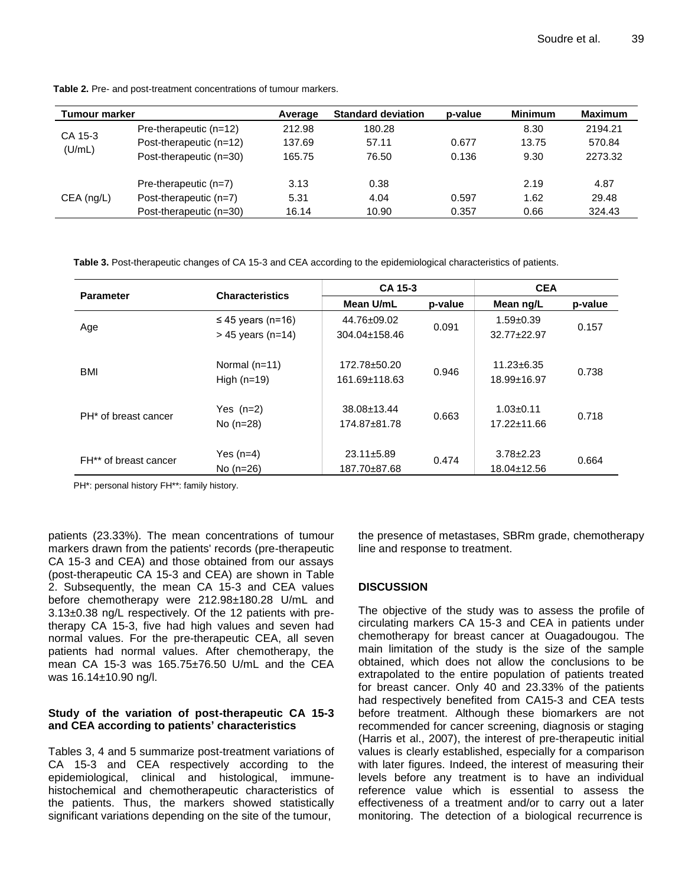| <b>Tumour marker</b> |                          | Average | <b>Standard deviation</b> | p-value | <b>Minimum</b> | <b>Maximum</b> |
|----------------------|--------------------------|---------|---------------------------|---------|----------------|----------------|
| CA 15-3<br>(U/mL)    | Pre-therapeutic $(n=12)$ | 212.98  | 180.28                    |         | 8.30           | 2194.21        |
|                      | Post-therapeutic (n=12)  | 137.69  | 57.11                     | 0.677   | 13.75          | 570.84         |
|                      | Post-therapeutic (n=30)  | 165.75  | 76.50                     | 0.136   | 9.30           | 2273.32        |
| $CEA$ (ng/L)         | Pre-therapeutic $(n=7)$  | 3.13    | 0.38                      |         | 2.19           | 4.87           |
|                      | Post-therapeutic $(n=7)$ | 5.31    | 4.04                      | 0.597   | 1.62           | 29.48          |
|                      | Post-therapeutic (n=30)  | 16.14   | 10.90                     | 0.357   | 0.66           | 324.43         |

**Table 2.** Pre- and post-treatment concentrations of tumour markers.

**Table 3.** Post-therapeutic changes of CA 15-3 and CEA according to the epidemiological characteristics of patients.

| <b>Parameter</b>                 | <b>Characteristics</b>                        | CA 15-3                           |         | <b>CEA</b>                       |         |
|----------------------------------|-----------------------------------------------|-----------------------------------|---------|----------------------------------|---------|
|                                  |                                               | Mean U/mL                         | p-value | Mean ng/L                        | p-value |
| Age                              | $\leq$ 45 years (n=16)<br>$> 45$ years (n=14) | 44.76±09.02<br>304.04±158.46      | 0.091   | $1.59 + 0.39$<br>$32.77 + 22.97$ | 0.157   |
| <b>BMI</b>                       | Normal $(n=11)$<br>High $(n=19)$              | 172.78±50.20<br>161.69±118.63     | 0.946   | $11.23 \pm 6.35$<br>18.99±16.97  | 0.738   |
| PH <sup>*</sup> of breast cancer | Yes $(n=2)$<br>No $(n=28)$                    | $38.08 \pm 13.44$<br>174.87±81.78 | 0.663   | $1.03 + 0.11$<br>17.22±11.66     | 0.718   |
| FH** of breast cancer            | Yes $(n=4)$<br>No $(n=26)$                    | $23.11 \pm 5.89$<br>187.70±87.68  | 0.474   | $3.78 \pm 2.23$<br>18.04±12.56   | 0.664   |

PH\*: personal history FH\*\*: family history.

patients (23.33%). The mean concentrations of tumour markers drawn from the patients' records (pre-therapeutic CA 15-3 and CEA) and those obtained from our assays (post-therapeutic CA 15-3 and CEA) are shown in Table 2. Subsequently, the mean CA 15-3 and CEA values before chemotherapy were 212.98±180.28 U/mL and 3.13±0.38 ng/L respectively. Of the 12 patients with pretherapy CA 15-3, five had high values and seven had normal values. For the pre-therapeutic CEA, all seven patients had normal values. After chemotherapy, the mean CA 15-3 was 165.75±76.50 U/mL and the CEA was 16.14±10.90 ng/l.

## **Study of the variation of post-therapeutic CA 15-3 and CEA according to patients' characteristics**

Tables 3, 4 and 5 summarize post-treatment variations of CA 15-3 and CEA respectively according to the epidemiological, clinical and histological, immunehistochemical and chemotherapeutic characteristics of the patients. Thus, the markers showed statistically significant variations depending on the site of the tumour,

the presence of metastases, SBRm grade, chemotherapy line and response to treatment.

# **DISCUSSION**

The objective of the study was to assess the profile of circulating markers CA 15-3 and CEA in patients under chemotherapy for breast cancer at Ouagadougou. The main limitation of the study is the size of the sample obtained, which does not allow the conclusions to be extrapolated to the entire population of patients treated for breast cancer. Only 40 and 23.33% of the patients had respectively benefited from CA15-3 and CEA tests before treatment. Although these biomarkers are not recommended for cancer screening, diagnosis or staging (Harris et al., 2007), the interest of pre-therapeutic initial values is clearly established, especially for a comparison with later figures. Indeed, the interest of measuring their levels before any treatment is to have an individual reference value which is essential to assess the effectiveness of a treatment and/or to carry out a later monitoring. The detection of a biological recurrence is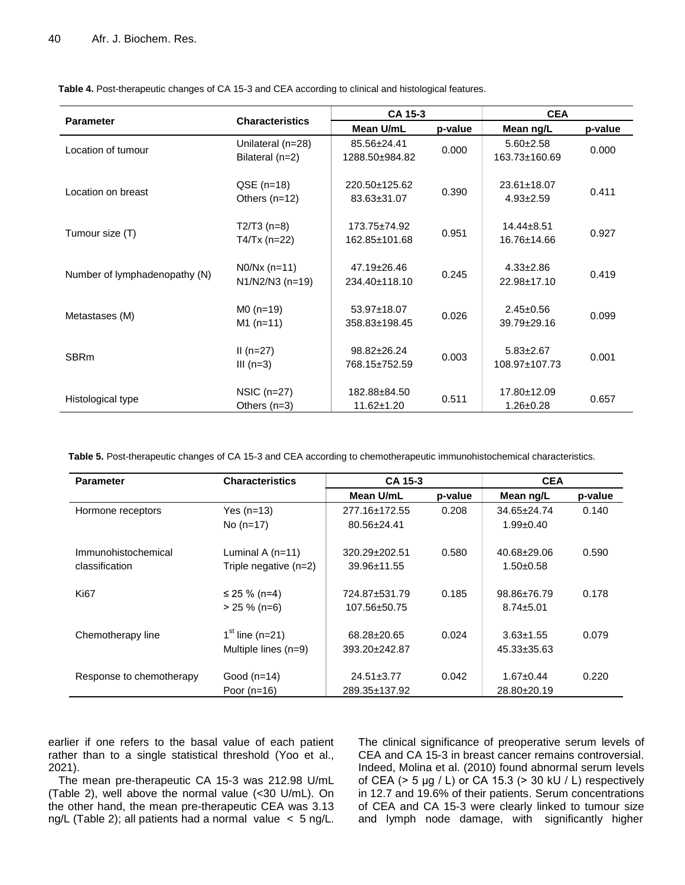|                               | <b>Characteristics</b>                 | CA 15-3                             |         | <b>CEA</b>                           |         |
|-------------------------------|----------------------------------------|-------------------------------------|---------|--------------------------------------|---------|
| <b>Parameter</b>              |                                        | Mean U/mL                           | p-value | Mean ng/L                            | p-value |
| Location of tumour            | Unilateral (n=28)<br>Bilateral $(n=2)$ | 85.56±24.41<br>1288.50±984.82       | 0.000   | $5.60 + 2.58$<br>163.73±160.69       | 0.000   |
| Location on breast            | $QSE$ (n=18)<br>Others $(n=12)$        | 220.50+125.62<br>83.63±31.07        | 0.390   | $23.61 \pm 18.07$<br>$4.93 \pm 2.59$ | 0.411   |
| Tumour size (T)               | $T2/T3$ (n=8)<br>$T4/Tx$ (n=22)        | $173.75 \pm 74.92$<br>162.85±101.68 | 0.951   | $14.44 \pm 8.51$<br>16.76±14.66      | 0.927   |
| Number of lymphadenopathy (N) | $NO/Nx (n=11)$<br>$N1/N2/N3$ (n=19)    | $47.19 \pm 26.46$<br>234.40±118.10  | 0.245   | $4.33 \pm 2.86$<br>22.98±17.10       | 0.419   |
| Metastases (M)                | $MO(n=19)$<br>$M1(n=11)$               | 53.97±18.07<br>358.83±198.45        | 0.026   | $2.45 \pm 0.56$<br>$39.79 \pm 29.16$ | 0.099   |
| <b>SBRm</b>                   | $II(n=27)$<br>III $(n=3)$              | $98.82 \pm 26.24$<br>768.15±752.59  | 0.003   | $5.83 \pm 2.67$<br>108.97±107.73     | 0.001   |
| Histological type             | $NSIC$ (n=27)<br>Others $(n=3)$        | 182.88±84.50<br>$11.62 \pm 1.20$    | 0.511   | 17.80±12.09<br>$1.26 \pm 0.28$       | 0.657   |

**Table 4.** Post-therapeutic changes of CA 15-3 and CEA according to clinical and histological features.

**Table 5.** Post-therapeutic changes of CA 15-3 and CEA according to chemotherapeutic immunohistochemical characteristics.

| <b>Parameter</b>         | <b>Characteristics</b>  | CA 15-3             |         | <b>CEA</b>        |         |
|--------------------------|-------------------------|---------------------|---------|-------------------|---------|
|                          |                         | Mean U/mL           | p-value | Mean ng/L         | p-value |
| Hormone receptors        | Yes $(n=13)$            | 277.16±172.55       | 0.208   | $34.65 \pm 24.74$ | 0.140   |
|                          | No $(n=17)$             | $80.56 \pm 24.41$   |         | $1.99 \pm 0.40$   |         |
| Immunohistochemical      | Luminal A $(n=11)$      | $320.29 \pm 202.51$ | 0.580   | $40.68 + 29.06$   | 0.590   |
| classification           | Triple negative $(n=2)$ | $39.96 \pm 11.55$   |         | $1.50+0.58$       |         |
| Ki <sub>67</sub>         | ≤ 25 % (n=4)            | 724.87±531.79       | 0.185   | $98.86 \pm 76.79$ | 0.178   |
|                          | $> 25 \%$ (n=6)         | 107.56±50.75        |         | $8.74 \pm 5.01$   |         |
| Chemotherapy line        | $1st$ line (n=21)       | 68.28±20.65         | 0.024   | $3.63 \pm 1.55$   | 0.079   |
|                          | Multiple lines $(n=9)$  | $393.20 \pm 242.87$ |         | 45.33±35.63       |         |
| Response to chemotherapy | Good $(n=14)$           | $24.51 \pm 3.77$    | 0.042   | $1.67 \pm 0.44$   | 0.220   |
|                          | Poor $(n=16)$           | 289.35±137.92       |         | 28.80±20.19       |         |

earlier if one refers to the basal value of each patient rather than to a single statistical threshold (Yoo et al., 2021).

The mean pre-therapeutic CA 15-3 was 212.98 U/mL (Table 2), well above the normal value (<30 U/mL). On the other hand, the mean pre-therapeutic CEA was 3.13 ng/L (Table 2); all patients had a normal value < 5 ng/L. The clinical significance of preoperative serum levels of CEA and CA 15-3 in breast cancer remains controversial. Indeed, Molina et al. (2010) found abnormal serum levels of CEA (> 5 μg / L) or CA 15.3 (> 30 kU / L) respectively in 12.7 and 19.6% of their patients. Serum concentrations of CEA and CA 15-3 were clearly linked to tumour size and lymph node damage, with significantly higher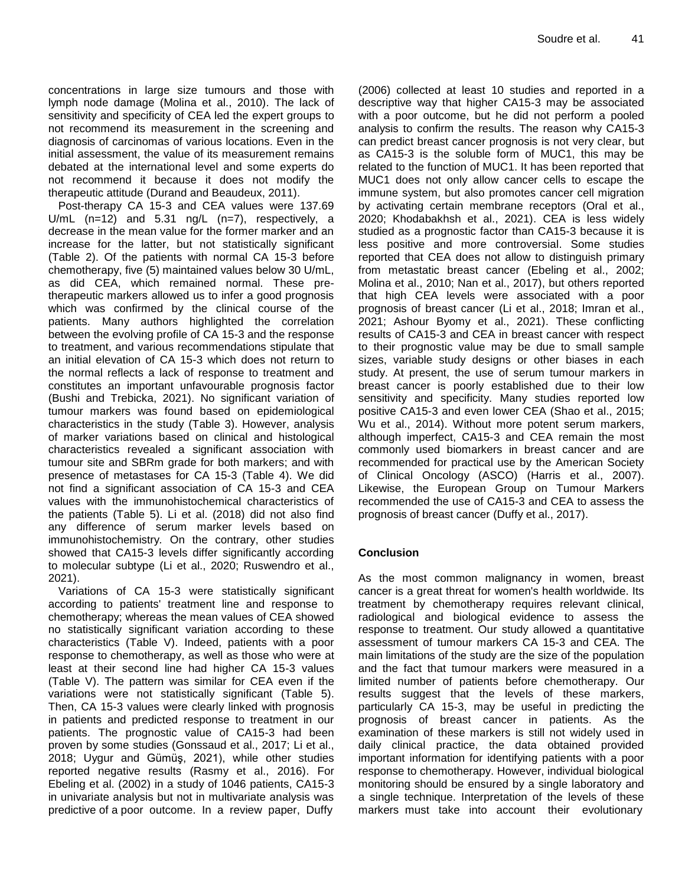concentrations in large size tumours and those with lymph node damage (Molina et al., 2010). The lack of sensitivity and specificity of CEA led the expert groups to not recommend its measurement in the screening and diagnosis of carcinomas of various locations. Even in the initial assessment, the value of its measurement remains debated at the international level and some experts do not recommend it because it does not modify the therapeutic attitude (Durand and Beaudeux, 2011).

Post-therapy CA 15-3 and CEA values were 137.69 U/mL (n=12) and 5.31 ng/L (n=7), respectively, a decrease in the mean value for the former marker and an increase for the latter, but not statistically significant (Table 2). Of the patients with normal CA 15-3 before chemotherapy, five (5) maintained values below 30 U/mL, as did CEA, which remained normal. These pretherapeutic markers allowed us to infer a good prognosis which was confirmed by the clinical course of the patients. Many authors highlighted the correlation between the evolving profile of CA 15-3 and the response to treatment, and various recommendations stipulate that an initial elevation of CA 15-3 which does not return to the normal reflects a lack of response to treatment and constitutes an important unfavourable prognosis factor (Bushi and Trebicka, 2021). No significant variation of tumour markers was found based on epidemiological characteristics in the study (Table 3). However, analysis of marker variations based on clinical and histological characteristics revealed a significant association with tumour site and SBRm grade for both markers; and with presence of metastases for CA 15-3 (Table 4). We did not find a significant association of CA 15-3 and CEA values with the immunohistochemical characteristics of the patients (Table 5). Li et al. (2018) did not also find any difference of serum marker levels based on immunohistochemistry*.* On the contrary, other studies showed that CA15-3 levels differ significantly according to molecular subtype (Li et al., 2020; Ruswendro et al., 2021).

Variations of CA 15-3 were statistically significant according to patients' treatment line and response to chemotherapy; whereas the mean values of CEA showed no statistically significant variation according to these characteristics (Table V). Indeed, patients with a poor response to chemotherapy, as well as those who were at least at their second line had higher CA 15-3 values (Table V). The pattern was similar for CEA even if the variations were not statistically significant (Table 5). Then, CA 15-3 values were clearly linked with prognosis in patients and predicted response to treatment in our patients. The prognostic value of CA15-3 had been proven by some studies (Gonssaud et al., 2017; Li et al., 2018; Uygur and Gümüş, 2021), while other studies reported negative results (Rasmy et al., 2016). For Ebeling et al. (2002) in a study of 1046 patients, CA15-3 in univariate analysis but not in multivariate analysis was predictive of a poor outcome. In a review paper, Duffy

(2006) collected at least 10 studies and reported in a descriptive way that higher CA15-3 may be associated with a poor outcome, but he did not perform a pooled analysis to confirm the results. The reason why CA15-3 can predict breast cancer prognosis is not very clear, but as CA15-3 is the soluble form of MUC1, this may be related to the function of MUC1. It has been reported that MUC1 does not only allow cancer cells to escape the immune system, but also promotes cancer cell migration by activating certain membrane receptors (Oral et al., 2020; Khodabakhsh et al., 2021). CEA is less widely studied as a prognostic factor than CA15-3 because it is less positive and more controversial. Some studies reported that CEA does not allow to distinguish primary from metastatic breast cancer (Ebeling et al., 2002; Molina et al., 2010; Nan et al., 2017), but others reported that high CEA levels were associated with a poor prognosis of breast cancer (Li et al., 2018; Imran et al., 2021; Ashour Byomy et al., 2021). These conflicting results of CA15-3 and CEA in breast cancer with respect to their prognostic value may be due to small sample sizes, variable study designs or other biases in each study. At present, the use of serum tumour markers in breast cancer is poorly established due to their low sensitivity and specificity. Many studies reported low positive CA15-3 and even lower CEA (Shao et al., 2015; Wu et al., 2014). Without more potent serum markers, although imperfect, CA15-3 and CEA remain the most commonly used biomarkers in breast cancer and are recommended for practical use by the American Society of Clinical Oncology (ASCO) (Harris et al., 2007). Likewise, the European Group on Tumour Markers recommended the use of CA15-3 and CEA to assess the prognosis of breast cancer (Duffy et al., 2017).

# **Conclusion**

As the most common malignancy in women, breast cancer is a great threat for women's health worldwide. Its treatment by chemotherapy requires relevant clinical, radiological and biological evidence to assess the response to treatment. Our study allowed a quantitative assessment of tumour markers CA 15-3 and CEA. The main limitations of the study are the size of the population and the fact that tumour markers were measured in a limited number of patients before chemotherapy. Our results suggest that the levels of these markers, particularly CA 15-3, may be useful in predicting the prognosis of breast cancer in patients. As the examination of these markers is still not widely used in daily clinical practice, the data obtained provided important information for identifying patients with a poor response to chemotherapy. However, individual biological monitoring should be ensured by a single laboratory and a single technique. Interpretation of the levels of these markers must take into account their evolutionary